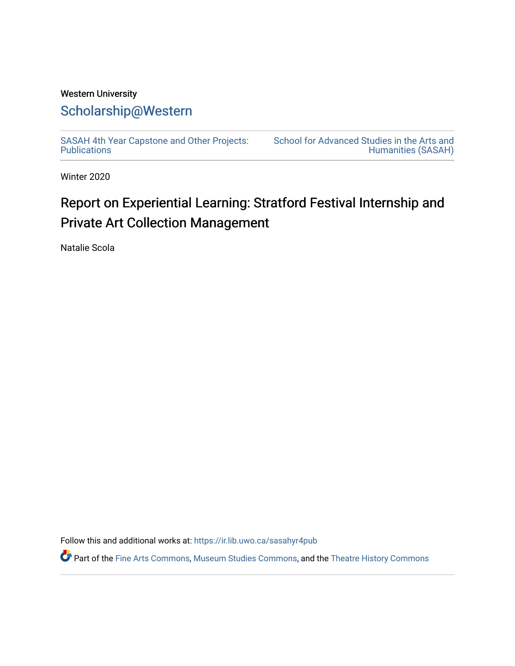## Western University [Scholarship@Western](https://ir.lib.uwo.ca/)

[SASAH 4th Year Capstone and Other Projects:](https://ir.lib.uwo.ca/sasahyr4pub)  **Publications** 

[School for Advanced Studies in the Arts and](https://ir.lib.uwo.ca/sasah)  [Humanities \(SASAH\)](https://ir.lib.uwo.ca/sasah) 

Winter 2020

# Report on Experiential Learning: Stratford Festival Internship and Private Art Collection Management

Natalie Scola

Follow this and additional works at: [https://ir.lib.uwo.ca/sasahyr4pub](https://ir.lib.uwo.ca/sasahyr4pub?utm_source=ir.lib.uwo.ca%2Fsasahyr4pub%2F17&utm_medium=PDF&utm_campaign=PDFCoverPages) 

Part of the [Fine Arts Commons,](http://network.bepress.com/hgg/discipline/1141?utm_source=ir.lib.uwo.ca%2Fsasahyr4pub%2F17&utm_medium=PDF&utm_campaign=PDFCoverPages) [Museum Studies Commons](http://network.bepress.com/hgg/discipline/1366?utm_source=ir.lib.uwo.ca%2Fsasahyr4pub%2F17&utm_medium=PDF&utm_campaign=PDFCoverPages), and the [Theatre History Commons](http://network.bepress.com/hgg/discipline/553?utm_source=ir.lib.uwo.ca%2Fsasahyr4pub%2F17&utm_medium=PDF&utm_campaign=PDFCoverPages)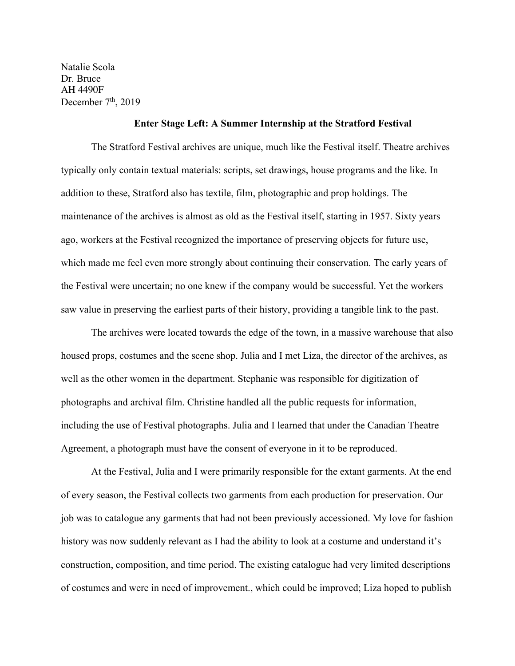Natalie Scola Dr. Bruce AH 4490F December  $7<sup>th</sup>$ , 2019

### **Enter Stage Left: A Summer Internship at the Stratford Festival**

The Stratford Festival archives are unique, much like the Festival itself. Theatre archives typically only contain textual materials: scripts, set drawings, house programs and the like. In addition to these, Stratford also has textile, film, photographic and prop holdings. The maintenance of the archives is almost as old as the Festival itself, starting in 1957. Sixty years ago, workers at the Festival recognized the importance of preserving objects for future use, which made me feel even more strongly about continuing their conservation. The early years of the Festival were uncertain; no one knew if the company would be successful. Yet the workers saw value in preserving the earliest parts of their history, providing a tangible link to the past.

The archives were located towards the edge of the town, in a massive warehouse that also housed props, costumes and the scene shop. Julia and I met Liza, the director of the archives, as well as the other women in the department. Stephanie was responsible for digitization of photographs and archival film. Christine handled all the public requests for information, including the use of Festival photographs. Julia and I learned that under the Canadian Theatre Agreement, a photograph must have the consent of everyone in it to be reproduced.

At the Festival, Julia and I were primarily responsible for the extant garments. At the end of every season, the Festival collects two garments from each production for preservation. Our job was to catalogue any garments that had not been previously accessioned. My love for fashion history was now suddenly relevant as I had the ability to look at a costume and understand it's construction, composition, and time period. The existing catalogue had very limited descriptions of costumes and were in need of improvement., which could be improved; Liza hoped to publish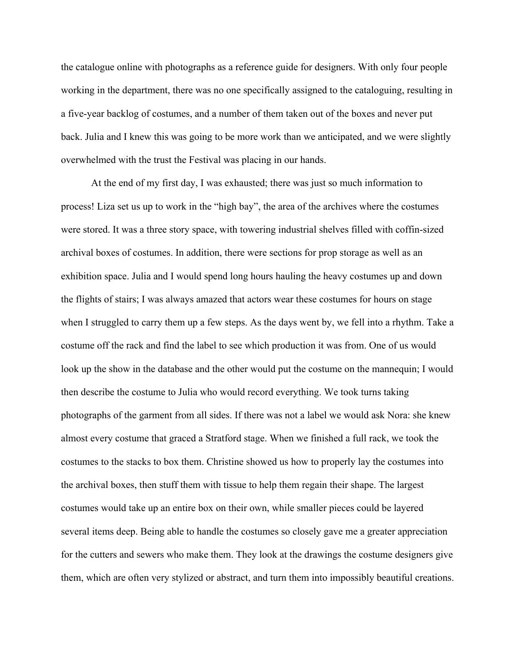the catalogue online with photographs as a reference guide for designers. With only four people working in the department, there was no one specifically assigned to the cataloguing, resulting in a five-year backlog of costumes, and a number of them taken out of the boxes and never put back. Julia and I knew this was going to be more work than we anticipated, and we were slightly overwhelmed with the trust the Festival was placing in our hands.

At the end of my first day, I was exhausted; there was just so much information to process! Liza set us up to work in the "high bay", the area of the archives where the costumes were stored. It was a three story space, with towering industrial shelves filled with coffin-sized archival boxes of costumes. In addition, there were sections for prop storage as well as an exhibition space. Julia and I would spend long hours hauling the heavy costumes up and down the flights of stairs; I was always amazed that actors wear these costumes for hours on stage when I struggled to carry them up a few steps. As the days went by, we fell into a rhythm. Take a costume off the rack and find the label to see which production it was from. One of us would look up the show in the database and the other would put the costume on the mannequin; I would then describe the costume to Julia who would record everything. We took turns taking photographs of the garment from all sides. If there was not a label we would ask Nora: she knew almost every costume that graced a Stratford stage. When we finished a full rack, we took the costumes to the stacks to box them. Christine showed us how to properly lay the costumes into the archival boxes, then stuff them with tissue to help them regain their shape. The largest costumes would take up an entire box on their own, while smaller pieces could be layered several items deep. Being able to handle the costumes so closely gave me a greater appreciation for the cutters and sewers who make them. They look at the drawings the costume designers give them, which are often very stylized or abstract, and turn them into impossibly beautiful creations.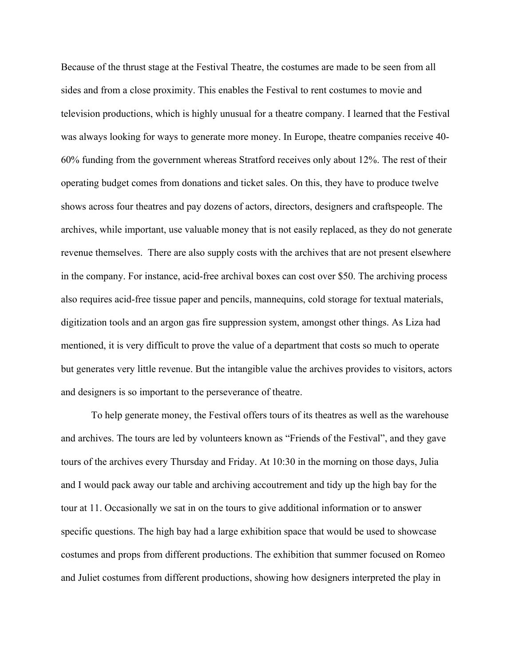Because of the thrust stage at the Festival Theatre, the costumes are made to be seen from all sides and from a close proximity. This enables the Festival to rent costumes to movie and television productions, which is highly unusual for a theatre company. I learned that the Festival was always looking for ways to generate more money. In Europe, theatre companies receive 40- 60% funding from the government whereas Stratford receives only about 12%. The rest of their operating budget comes from donations and ticket sales. On this, they have to produce twelve shows across four theatres and pay dozens of actors, directors, designers and craftspeople. The archives, while important, use valuable money that is not easily replaced, as they do not generate revenue themselves. There are also supply costs with the archives that are not present elsewhere in the company. For instance, acid-free archival boxes can cost over \$50. The archiving process also requires acid-free tissue paper and pencils, mannequins, cold storage for textual materials, digitization tools and an argon gas fire suppression system, amongst other things. As Liza had mentioned, it is very difficult to prove the value of a department that costs so much to operate but generates very little revenue. But the intangible value the archives provides to visitors, actors and designers is so important to the perseverance of theatre.

To help generate money, the Festival offers tours of its theatres as well as the warehouse and archives. The tours are led by volunteers known as "Friends of the Festival", and they gave tours of the archives every Thursday and Friday. At 10:30 in the morning on those days, Julia and I would pack away our table and archiving accoutrement and tidy up the high bay for the tour at 11. Occasionally we sat in on the tours to give additional information or to answer specific questions. The high bay had a large exhibition space that would be used to showcase costumes and props from different productions. The exhibition that summer focused on Romeo and Juliet costumes from different productions, showing how designers interpreted the play in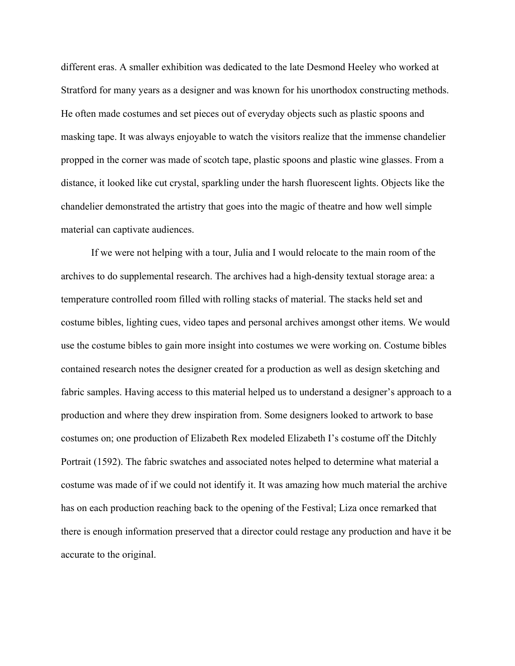different eras. A smaller exhibition was dedicated to the late Desmond Heeley who worked at Stratford for many years as a designer and was known for his unorthodox constructing methods. He often made costumes and set pieces out of everyday objects such as plastic spoons and masking tape. It was always enjoyable to watch the visitors realize that the immense chandelier propped in the corner was made of scotch tape, plastic spoons and plastic wine glasses. From a distance, it looked like cut crystal, sparkling under the harsh fluorescent lights. Objects like the chandelier demonstrated the artistry that goes into the magic of theatre and how well simple material can captivate audiences.

If we were not helping with a tour, Julia and I would relocate to the main room of the archives to do supplemental research. The archives had a high-density textual storage area: a temperature controlled room filled with rolling stacks of material. The stacks held set and costume bibles, lighting cues, video tapes and personal archives amongst other items. We would use the costume bibles to gain more insight into costumes we were working on. Costume bibles contained research notes the designer created for a production as well as design sketching and fabric samples. Having access to this material helped us to understand a designer's approach to a production and where they drew inspiration from. Some designers looked to artwork to base costumes on; one production of Elizabeth Rex modeled Elizabeth I's costume off the Ditchly Portrait (1592). The fabric swatches and associated notes helped to determine what material a costume was made of if we could not identify it. It was amazing how much material the archive has on each production reaching back to the opening of the Festival; Liza once remarked that there is enough information preserved that a director could restage any production and have it be accurate to the original.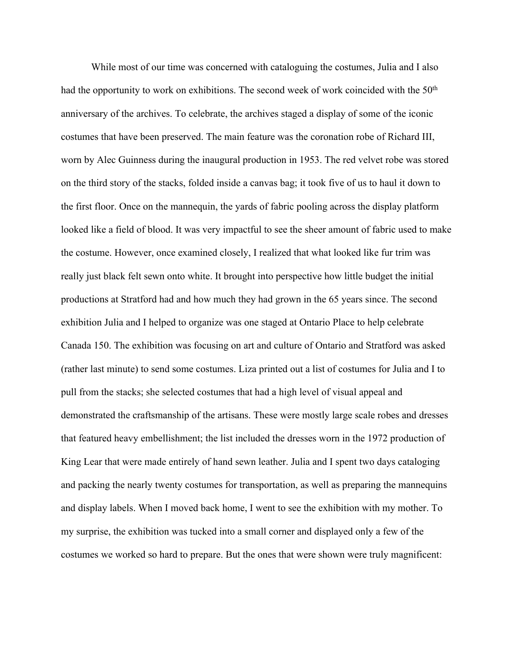While most of our time was concerned with cataloguing the costumes, Julia and I also had the opportunity to work on exhibitions. The second week of work coincided with the  $50<sup>th</sup>$ anniversary of the archives. To celebrate, the archives staged a display of some of the iconic costumes that have been preserved. The main feature was the coronation robe of Richard III, worn by Alec Guinness during the inaugural production in 1953. The red velvet robe was stored on the third story of the stacks, folded inside a canvas bag; it took five of us to haul it down to the first floor. Once on the mannequin, the yards of fabric pooling across the display platform looked like a field of blood. It was very impactful to see the sheer amount of fabric used to make the costume. However, once examined closely, I realized that what looked like fur trim was really just black felt sewn onto white. It brought into perspective how little budget the initial productions at Stratford had and how much they had grown in the 65 years since. The second exhibition Julia and I helped to organize was one staged at Ontario Place to help celebrate Canada 150. The exhibition was focusing on art and culture of Ontario and Stratford was asked (rather last minute) to send some costumes. Liza printed out a list of costumes for Julia and I to pull from the stacks; she selected costumes that had a high level of visual appeal and demonstrated the craftsmanship of the artisans. These were mostly large scale robes and dresses that featured heavy embellishment; the list included the dresses worn in the 1972 production of King Lear that were made entirely of hand sewn leather. Julia and I spent two days cataloging and packing the nearly twenty costumes for transportation, as well as preparing the mannequins and display labels. When I moved back home, I went to see the exhibition with my mother. To my surprise, the exhibition was tucked into a small corner and displayed only a few of the costumes we worked so hard to prepare. But the ones that were shown were truly magnificent: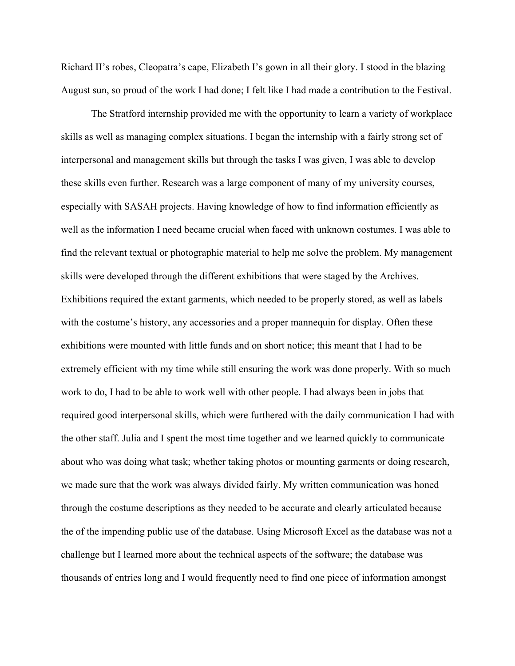Richard II's robes, Cleopatra's cape, Elizabeth I's gown in all their glory. I stood in the blazing August sun, so proud of the work I had done; I felt like I had made a contribution to the Festival.

The Stratford internship provided me with the opportunity to learn a variety of workplace skills as well as managing complex situations. I began the internship with a fairly strong set of interpersonal and management skills but through the tasks I was given, I was able to develop these skills even further. Research was a large component of many of my university courses, especially with SASAH projects. Having knowledge of how to find information efficiently as well as the information I need became crucial when faced with unknown costumes. I was able to find the relevant textual or photographic material to help me solve the problem. My management skills were developed through the different exhibitions that were staged by the Archives. Exhibitions required the extant garments, which needed to be properly stored, as well as labels with the costume's history, any accessories and a proper mannequin for display. Often these exhibitions were mounted with little funds and on short notice; this meant that I had to be extremely efficient with my time while still ensuring the work was done properly. With so much work to do, I had to be able to work well with other people. I had always been in jobs that required good interpersonal skills, which were furthered with the daily communication I had with the other staff. Julia and I spent the most time together and we learned quickly to communicate about who was doing what task; whether taking photos or mounting garments or doing research, we made sure that the work was always divided fairly. My written communication was honed through the costume descriptions as they needed to be accurate and clearly articulated because the of the impending public use of the database. Using Microsoft Excel as the database was not a challenge but I learned more about the technical aspects of the software; the database was thousands of entries long and I would frequently need to find one piece of information amongst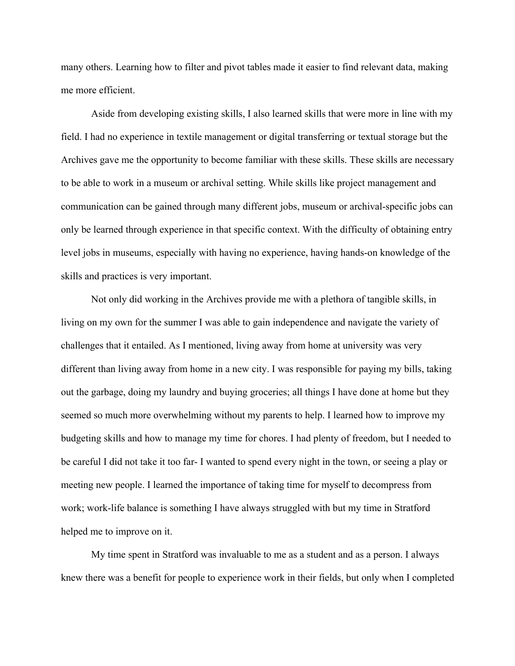many others. Learning how to filter and pivot tables made it easier to find relevant data, making me more efficient.

Aside from developing existing skills, I also learned skills that were more in line with my field. I had no experience in textile management or digital transferring or textual storage but the Archives gave me the opportunity to become familiar with these skills. These skills are necessary to be able to work in a museum or archival setting. While skills like project management and communication can be gained through many different jobs, museum or archival-specific jobs can only be learned through experience in that specific context. With the difficulty of obtaining entry level jobs in museums, especially with having no experience, having hands-on knowledge of the skills and practices is very important.

Not only did working in the Archives provide me with a plethora of tangible skills, in living on my own for the summer I was able to gain independence and navigate the variety of challenges that it entailed. As I mentioned, living away from home at university was very different than living away from home in a new city. I was responsible for paying my bills, taking out the garbage, doing my laundry and buying groceries; all things I have done at home but they seemed so much more overwhelming without my parents to help. I learned how to improve my budgeting skills and how to manage my time for chores. I had plenty of freedom, but I needed to be careful I did not take it too far- I wanted to spend every night in the town, or seeing a play or meeting new people. I learned the importance of taking time for myself to decompress from work; work-life balance is something I have always struggled with but my time in Stratford helped me to improve on it.

My time spent in Stratford was invaluable to me as a student and as a person. I always knew there was a benefit for people to experience work in their fields, but only when I completed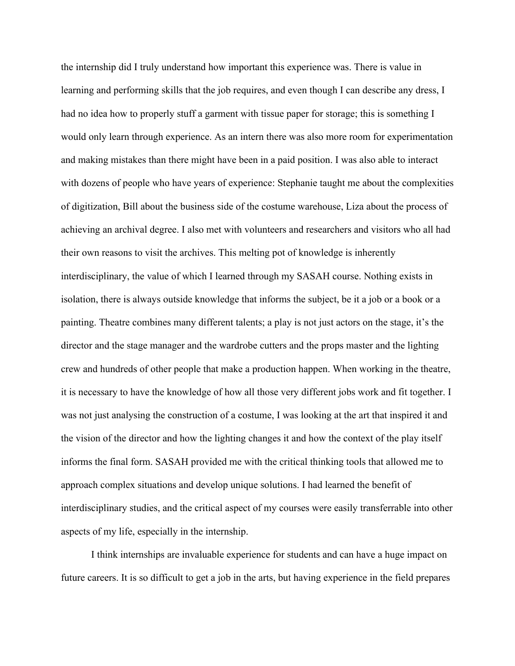the internship did I truly understand how important this experience was. There is value in learning and performing skills that the job requires, and even though I can describe any dress, I had no idea how to properly stuff a garment with tissue paper for storage; this is something I would only learn through experience. As an intern there was also more room for experimentation and making mistakes than there might have been in a paid position. I was also able to interact with dozens of people who have years of experience: Stephanie taught me about the complexities of digitization, Bill about the business side of the costume warehouse, Liza about the process of achieving an archival degree. I also met with volunteers and researchers and visitors who all had their own reasons to visit the archives. This melting pot of knowledge is inherently interdisciplinary, the value of which I learned through my SASAH course. Nothing exists in isolation, there is always outside knowledge that informs the subject, be it a job or a book or a painting. Theatre combines many different talents; a play is not just actors on the stage, it's the director and the stage manager and the wardrobe cutters and the props master and the lighting crew and hundreds of other people that make a production happen. When working in the theatre, it is necessary to have the knowledge of how all those very different jobs work and fit together. I was not just analysing the construction of a costume, I was looking at the art that inspired it and the vision of the director and how the lighting changes it and how the context of the play itself informs the final form. SASAH provided me with the critical thinking tools that allowed me to approach complex situations and develop unique solutions. I had learned the benefit of interdisciplinary studies, and the critical aspect of my courses were easily transferrable into other aspects of my life, especially in the internship.

I think internships are invaluable experience for students and can have a huge impact on future careers. It is so difficult to get a job in the arts, but having experience in the field prepares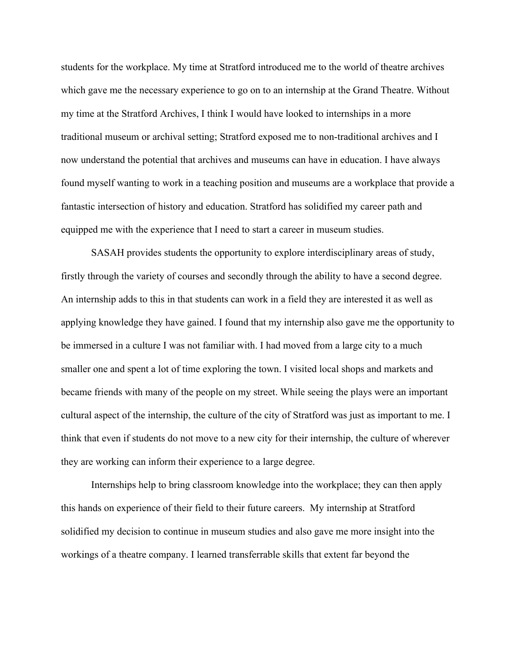students for the workplace. My time at Stratford introduced me to the world of theatre archives which gave me the necessary experience to go on to an internship at the Grand Theatre. Without my time at the Stratford Archives, I think I would have looked to internships in a more traditional museum or archival setting; Stratford exposed me to non-traditional archives and I now understand the potential that archives and museums can have in education. I have always found myself wanting to work in a teaching position and museums are a workplace that provide a fantastic intersection of history and education. Stratford has solidified my career path and equipped me with the experience that I need to start a career in museum studies.

SASAH provides students the opportunity to explore interdisciplinary areas of study, firstly through the variety of courses and secondly through the ability to have a second degree. An internship adds to this in that students can work in a field they are interested it as well as applying knowledge they have gained. I found that my internship also gave me the opportunity to be immersed in a culture I was not familiar with. I had moved from a large city to a much smaller one and spent a lot of time exploring the town. I visited local shops and markets and became friends with many of the people on my street. While seeing the plays were an important cultural aspect of the internship, the culture of the city of Stratford was just as important to me. I think that even if students do not move to a new city for their internship, the culture of wherever they are working can inform their experience to a large degree.

Internships help to bring classroom knowledge into the workplace; they can then apply this hands on experience of their field to their future careers. My internship at Stratford solidified my decision to continue in museum studies and also gave me more insight into the workings of a theatre company. I learned transferrable skills that extent far beyond the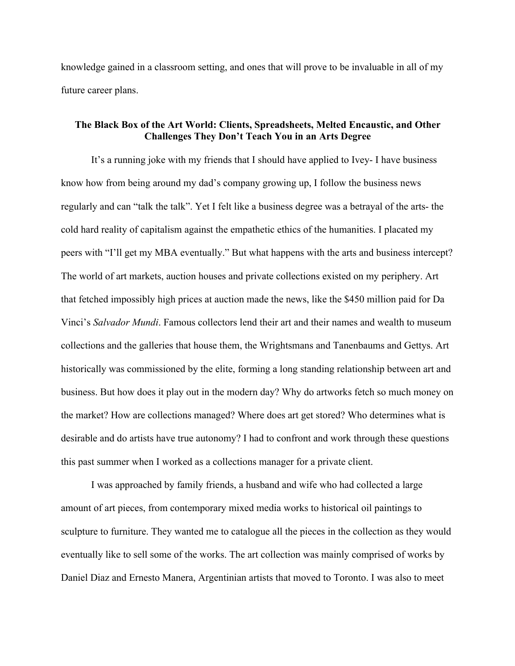knowledge gained in a classroom setting, and ones that will prove to be invaluable in all of my future career plans.

## **The Black Box of the Art World: Clients, Spreadsheets, Melted Encaustic, and Other Challenges They Don't Teach You in an Arts Degree**

It's a running joke with my friends that I should have applied to Ivey- I have business know how from being around my dad's company growing up, I follow the business news regularly and can "talk the talk". Yet I felt like a business degree was a betrayal of the arts- the cold hard reality of capitalism against the empathetic ethics of the humanities. I placated my peers with "I'll get my MBA eventually." But what happens with the arts and business intercept? The world of art markets, auction houses and private collections existed on my periphery. Art that fetched impossibly high prices at auction made the news, like the \$450 million paid for Da Vinci's *Salvador Mundi*. Famous collectors lend their art and their names and wealth to museum collections and the galleries that house them, the Wrightsmans and Tanenbaums and Gettys. Art historically was commissioned by the elite, forming a long standing relationship between art and business. But how does it play out in the modern day? Why do artworks fetch so much money on the market? How are collections managed? Where does art get stored? Who determines what is desirable and do artists have true autonomy? I had to confront and work through these questions this past summer when I worked as a collections manager for a private client.

I was approached by family friends, a husband and wife who had collected a large amount of art pieces, from contemporary mixed media works to historical oil paintings to sculpture to furniture. They wanted me to catalogue all the pieces in the collection as they would eventually like to sell some of the works. The art collection was mainly comprised of works by Daniel Diaz and Ernesto Manera, Argentinian artists that moved to Toronto. I was also to meet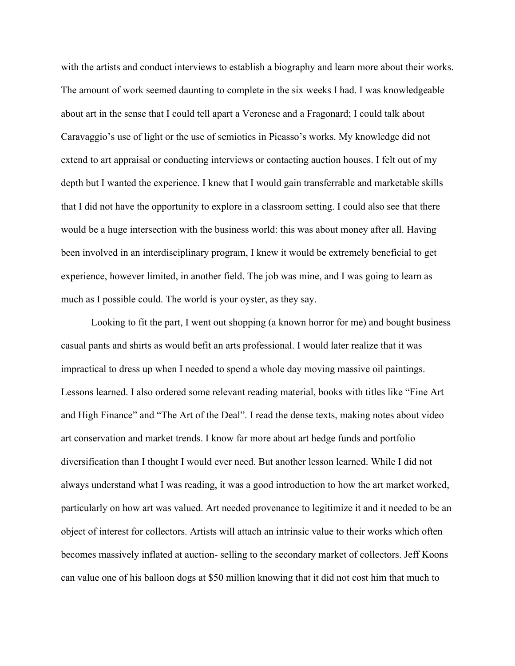with the artists and conduct interviews to establish a biography and learn more about their works. The amount of work seemed daunting to complete in the six weeks I had. I was knowledgeable about art in the sense that I could tell apart a Veronese and a Fragonard; I could talk about Caravaggio's use of light or the use of semiotics in Picasso's works. My knowledge did not extend to art appraisal or conducting interviews or contacting auction houses. I felt out of my depth but I wanted the experience. I knew that I would gain transferrable and marketable skills that I did not have the opportunity to explore in a classroom setting. I could also see that there would be a huge intersection with the business world: this was about money after all. Having been involved in an interdisciplinary program, I knew it would be extremely beneficial to get experience, however limited, in another field. The job was mine, and I was going to learn as much as I possible could. The world is your oyster, as they say.

Looking to fit the part, I went out shopping (a known horror for me) and bought business casual pants and shirts as would befit an arts professional. I would later realize that it was impractical to dress up when I needed to spend a whole day moving massive oil paintings. Lessons learned. I also ordered some relevant reading material, books with titles like "Fine Art and High Finance" and "The Art of the Deal". I read the dense texts, making notes about video art conservation and market trends. I know far more about art hedge funds and portfolio diversification than I thought I would ever need. But another lesson learned. While I did not always understand what I was reading, it was a good introduction to how the art market worked, particularly on how art was valued. Art needed provenance to legitimize it and it needed to be an object of interest for collectors. Artists will attach an intrinsic value to their works which often becomes massively inflated at auction- selling to the secondary market of collectors. Jeff Koons can value one of his balloon dogs at \$50 million knowing that it did not cost him that much to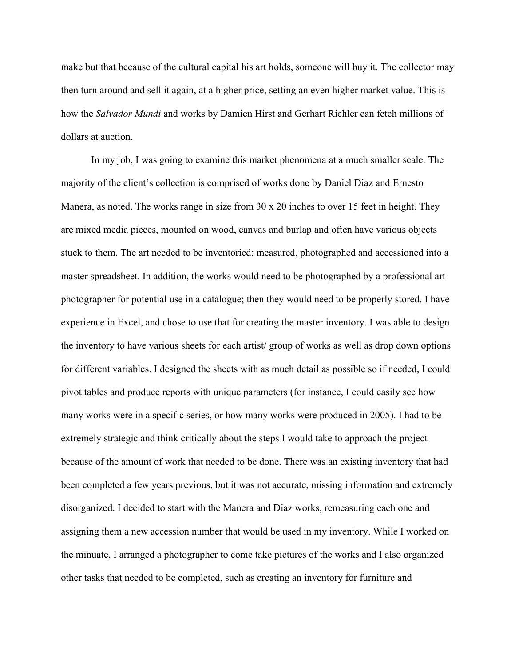make but that because of the cultural capital his art holds, someone will buy it. The collector may then turn around and sell it again, at a higher price, setting an even higher market value. This is how the *Salvador Mundi* and works by Damien Hirst and Gerhart Richler can fetch millions of dollars at auction.

In my job, I was going to examine this market phenomena at a much smaller scale. The majority of the client's collection is comprised of works done by Daniel Diaz and Ernesto Manera, as noted. The works range in size from 30 x 20 inches to over 15 feet in height. They are mixed media pieces, mounted on wood, canvas and burlap and often have various objects stuck to them. The art needed to be inventoried: measured, photographed and accessioned into a master spreadsheet. In addition, the works would need to be photographed by a professional art photographer for potential use in a catalogue; then they would need to be properly stored. I have experience in Excel, and chose to use that for creating the master inventory. I was able to design the inventory to have various sheets for each artist/ group of works as well as drop down options for different variables. I designed the sheets with as much detail as possible so if needed, I could pivot tables and produce reports with unique parameters (for instance, I could easily see how many works were in a specific series, or how many works were produced in 2005). I had to be extremely strategic and think critically about the steps I would take to approach the project because of the amount of work that needed to be done. There was an existing inventory that had been completed a few years previous, but it was not accurate, missing information and extremely disorganized. I decided to start with the Manera and Diaz works, remeasuring each one and assigning them a new accession number that would be used in my inventory. While I worked on the minuate, I arranged a photographer to come take pictures of the works and I also organized other tasks that needed to be completed, such as creating an inventory for furniture and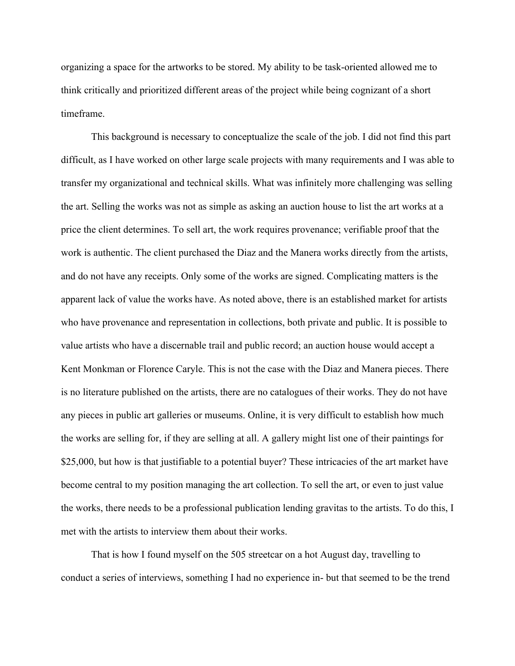organizing a space for the artworks to be stored. My ability to be task-oriented allowed me to think critically and prioritized different areas of the project while being cognizant of a short timeframe.

This background is necessary to conceptualize the scale of the job. I did not find this part difficult, as I have worked on other large scale projects with many requirements and I was able to transfer my organizational and technical skills. What was infinitely more challenging was selling the art. Selling the works was not as simple as asking an auction house to list the art works at a price the client determines. To sell art, the work requires provenance; verifiable proof that the work is authentic. The client purchased the Diaz and the Manera works directly from the artists, and do not have any receipts. Only some of the works are signed. Complicating matters is the apparent lack of value the works have. As noted above, there is an established market for artists who have provenance and representation in collections, both private and public. It is possible to value artists who have a discernable trail and public record; an auction house would accept a Kent Monkman or Florence Caryle. This is not the case with the Diaz and Manera pieces. There is no literature published on the artists, there are no catalogues of their works. They do not have any pieces in public art galleries or museums. Online, it is very difficult to establish how much the works are selling for, if they are selling at all. A gallery might list one of their paintings for \$25,000, but how is that justifiable to a potential buyer? These intricacies of the art market have become central to my position managing the art collection. To sell the art, or even to just value the works, there needs to be a professional publication lending gravitas to the artists. To do this, I met with the artists to interview them about their works.

That is how I found myself on the 505 streetcar on a hot August day, travelling to conduct a series of interviews, something I had no experience in- but that seemed to be the trend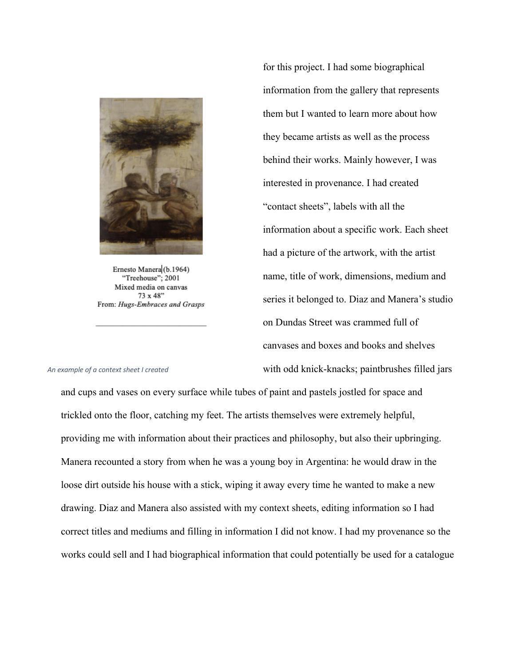

Ernesto Manera (b.1964) "Treehouse"; 2001 Mixed media on canvas 73 x 48" From: Hugs-Embraces and Grasps for this project. I had some biographical information from the gallery that represents them but I wanted to learn more about how they became artists as well as the process behind their works. Mainly however, I was interested in provenance. I had created "contact sheets", labels with all the information about a specific work. Each sheet had a picture of the artwork, with the artist name, title of work, dimensions, medium and series it belonged to. Diaz and Manera's studio on Dundas Street was crammed full of canvases and boxes and books and shelves with odd knick-knacks; paintbrushes filled jars

#### *An example of a context sheet I created*

and cups and vases on every surface while tubes of paint and pastels jostled for space and trickled onto the floor, catching my feet. The artists themselves were extremely helpful, providing me with information about their practices and philosophy, but also their upbringing. Manera recounted a story from when he was a young boy in Argentina: he would draw in the loose dirt outside his house with a stick, wiping it away every time he wanted to make a new drawing. Diaz and Manera also assisted with my context sheets, editing information so I had correct titles and mediums and filling in information I did not know. I had my provenance so the works could sell and I had biographical information that could potentially be used for a catalogue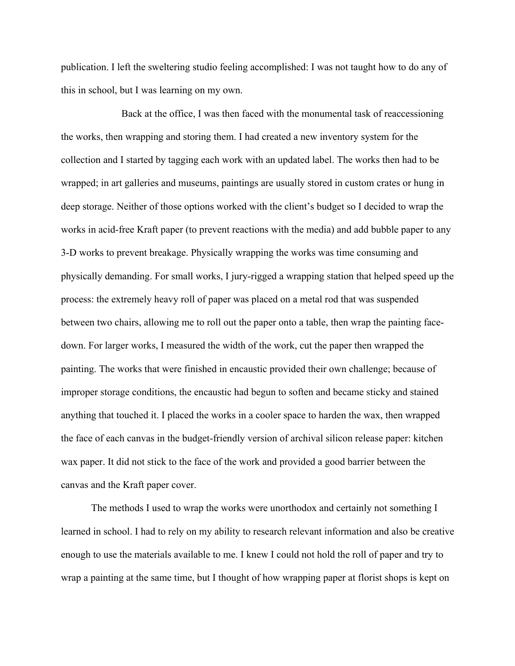publication. I left the sweltering studio feeling accomplished: I was not taught how to do any of this in school, but I was learning on my own.

Back at the office, I was then faced with the monumental task of reaccessioning the works, then wrapping and storing them. I had created a new inventory system for the collection and I started by tagging each work with an updated label. The works then had to be wrapped; in art galleries and museums, paintings are usually stored in custom crates or hung in deep storage. Neither of those options worked with the client's budget so I decided to wrap the works in acid-free Kraft paper (to prevent reactions with the media) and add bubble paper to any 3-D works to prevent breakage. Physically wrapping the works was time consuming and physically demanding. For small works, I jury-rigged a wrapping station that helped speed up the process: the extremely heavy roll of paper was placed on a metal rod that was suspended between two chairs, allowing me to roll out the paper onto a table, then wrap the painting facedown. For larger works, I measured the width of the work, cut the paper then wrapped the painting. The works that were finished in encaustic provided their own challenge; because of improper storage conditions, the encaustic had begun to soften and became sticky and stained anything that touched it. I placed the works in a cooler space to harden the wax, then wrapped the face of each canvas in the budget-friendly version of archival silicon release paper: kitchen wax paper. It did not stick to the face of the work and provided a good barrier between the canvas and the Kraft paper cover.

The methods I used to wrap the works were unorthodox and certainly not something I learned in school. I had to rely on my ability to research relevant information and also be creative enough to use the materials available to me. I knew I could not hold the roll of paper and try to wrap a painting at the same time, but I thought of how wrapping paper at florist shops is kept on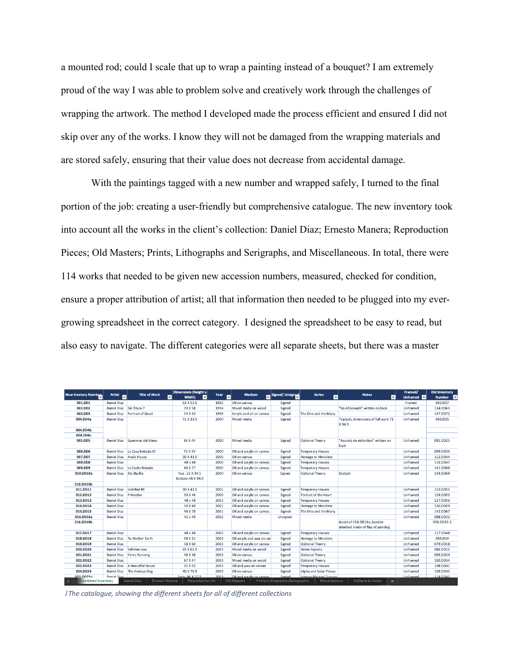a mounted rod; could I scale that up to wrap a painting instead of a bouquet? I am extremely proud of the way I was able to problem solve and creatively work through the challenges of wrapping the artwork. The method I developed made the process efficient and ensured I did not skip over any of the works. I know they will not be damaged from the wrapping materials and are stored safely, ensuring that their value does not decrease from accidental damage.

With the paintings tagged with a new number and wrapped safely, I turned to the final portion of the job: creating a user-friendly but comprehensive catalogue. The new inventory took into account all the works in the client's collection: Daniel Diaz; Ernesto Manera; Reproduction Pieces; Old Masters; Prints, Lithographs and Serigraphs, and Miscellaneous. In total, there were 114 works that needed to be given new accession numbers, measured, checked for condition, ensure a proper attribution of artist; all that information then needed to be plugged into my evergrowing spreadsheet in the correct category. I designed the spreadsheet to be easy to read, but also easy to navigate. The different categories were all separate sheets, but there was a master

| <b>New Invetory Number</b> | Artist<br>Б | <b>Title of Work</b>          | Dimensions (Height x<br>च<br>$\overline{\phantom{0}}$<br>Width) | Year<br>ы | Medium                     | Signed/ Unsigned               | <b>Series</b>           | <b>Notes</b><br>$\overline{\phantom{a}}$                            | Framed/<br>Unframed <b>D</b> | <b>Old Inventory</b><br>Number <b>D</b> |
|----------------------------|-------------|-------------------------------|-----------------------------------------------------------------|-----------|----------------------------|--------------------------------|-------------------------|---------------------------------------------------------------------|------------------------------|-----------------------------------------|
| 001.DD1                    | Daniel Diaz |                               | 63 X 53.5                                                       | 1992      | Oil on canvas              | Signed                         |                         |                                                                     | Framed                       | 043.DD7                                 |
| 002.DD2                    | Daniel Diaz | Sin Titulo 7                  | 70 X 58                                                         | 1994      | Mixed media on wood        | Signed                         |                         | "No Aficonado" written on back                                      | Unframed                     | 134.DD63                                |
| 003.DD3                    | Daniel Diaz | Portrait of Good              | 74 X 54                                                         | 1999      | Acrylic and oil on canvas  | Signed                         | The One and the Many    |                                                                     | Unframed                     | 147.DD72                                |
| 004.DD4a                   | Daniel Diaz |                               | 71 X 31.5                                                       | 2000      | Mixed media                | Signed                         |                         | Triptych, dimensions of full work 71<br>X94.5                       | Unframed                     | 039.DD5                                 |
| 004.DD4b                   |             |                               |                                                                 |           |                            |                                |                         |                                                                     |                              |                                         |
| 004.DD4c                   |             |                               |                                                                 |           |                            |                                |                         |                                                                     |                              |                                         |
| 005.DD5                    | Daniel Diaz | Espermas del Alexo            | 36 X 44                                                         | 2000      | Mixed media                | Signed                         | Optional Theory         | "Asundo de exticntion" written on<br>back                           | Unframed                     | 091.DD25                                |
| 006.DD6                    | Daniel Diaz | La Casa Robada #2             | 71 X 59                                                         | 2000      | Oil and acrylic on canvas  | Signed                         | <b>Temporary Houses</b> |                                                                     | Unframed                     | 099.DD33                                |
| 007.DD7                    | Daniel Diaz | Ana's House                   | 30 X 41.5                                                       | 2000      | Oil on canvas              | Signed                         | Homage to Mendieta      |                                                                     | Unframed                     | 112.DD44                                |
| 008.DD8                    | Daniel Diaz |                               | 48 x 48                                                         | 2000      | Oil and acrylic on canvas  | Signed                         | <b>Temporary Houses</b> |                                                                     | Unframed                     | 116.DD47                                |
| 009.DD9                    | Daniel Diaz | La Casita Robada              | 66 X 77                                                         | 2000      | Oil and acrylic on canvas  | Signed                         | <b>Temporary Houses</b> |                                                                     | Unframed                     | 141.DD66                                |
| 010.DD10a                  | Daniel Diaz | Bla Bla Bla                   | Top: 23 X 94.5<br>Bottom: 48 X 94.5                             | 2000      | Oil on canvas              | Signed                         | Optional Theory         | Diptych                                                             | Unframed                     | 144.DD69                                |
| 010.DD10b                  |             |                               |                                                                 |           |                            |                                |                         |                                                                     |                              |                                         |
| 011.DD11                   | Daniel Diaz | Untitled #9                   | 30 X 41.5                                                       | 2001      | Oil and acrylic on canvas  | Signed                         | <b>Temporary Houses</b> |                                                                     | Unframed                     | 123.DD52                                |
| 012.DD12                   | Daniel Diaz | Primative                     | 30 X 40                                                         | 2000      | Oil and acrylic on canvas  | Signed                         | Portrait of the Heart   |                                                                     | Unframed                     | 126.DD55                                |
| 013.DD13                   | Daniel Diaz |                               | 48 x 48                                                         | 2001      | Oil and acrylic on canyas  | Signed                         | <b>Temporary Houses</b> |                                                                     | Unframed                     | 127.DD56                                |
| 014.DD14                   | Daniel Diaz |                               | 30 X 40                                                         | 2001      | Oil and acrylic on canvas  | Signed                         | Homage to Mendieta      |                                                                     | Unframed                     | 130.DD59                                |
| 015.DD15                   | Daniel Diaz |                               | 46 X 78                                                         | 2001      | Oil and acrylic on canvas  | Signed                         | The One and the Many    |                                                                     | Unframed                     | 142.DD67                                |
| 016.DD16a                  | Daniel Diaz |                               | 41 x 49                                                         | 2002      | Mixed media                | Unsigned                       |                         |                                                                     | Unframed                     | 098.DD32                                |
| 016.DD16b                  |             |                               |                                                                 |           |                            |                                |                         | Inside of 016.DD16a, booklet<br>attached inside of flap of painting |                              | 098.DD32-2                              |
| 017.DD17                   | Daniel Diaz |                               | 48 x 48                                                         | 2002      | Oil and acrylic on canvas  | Signed                         | <b>Temporary Houses</b> |                                                                     | Unframed                     | 117.DD48                                |
| 018.DD18                   | Daniel Diaz | To Mother Earth               | 58 X 31                                                         | 2003      | Oil acrylic and wax on car | Signed                         | Homage to Mendieta      |                                                                     | Unframed                     | 038.DD4                                 |
| 019.DD19                   | Daniel Diaz |                               | 58 X 60                                                         | 2003      | Oil and acrylic on canvas  | Signed                         | Optional Theory         |                                                                     | Unframed                     | 079.DD18                                |
| 020.DD20                   | Daniel Diaz | Syblime Loss                  | 65 X 62.5                                                       | 2003      | Mixed media on wood        | Signed                         | <b>Homo Sapiens</b>     |                                                                     | Unframed                     | 086.DD22                                |
| 021.DD21                   | Daniel Diaz | Perro Running                 | 48 X 36                                                         | 2003      | Oil on canvas              | Signed                         | Optional Theory         |                                                                     | Unframed                     | 095.DD29                                |
| 022.DD22                   | Daniel Diaz |                               | 87 X 47                                                         | 2003      | Mixed media on wood        | Signed                         | Optional Theory         |                                                                     | Unframed                     | 100.DD34                                |
| 023.DD23                   | Daniel Diaz | A Beautiful House             | 55 X 55                                                         | 2003      | Oil and wax on canvas      | Signed                         | <b>Temporary Houses</b> |                                                                     | Unframed                     | 108.DD41                                |
| 024.DD24                   | Daniel Diaz | The Envious Dog               | 40 X 70.5                                                       | 2003      | Oil on canvas              | Signed                         | Alpha and Solar Plexus  |                                                                     | Unframed                     | 109.DD42                                |
| 025 DD25a                  | Daniel Diaz |                               | <b>Ends: 96 X 27 5</b>                                          | 2003      | Oil and actylic on canyas  | Signed                         | Intenso Ma non Tronno   |                                                                     | <b>Unframed</b>              | 114 DD45                                |
| <b>Combined Inventory</b>  |             | Daniel Diaz<br>Ernesto Manera | <b>Reproduction Art</b>                                         |           | Old Masters                | Prints+Lithographs+Seriographs | Miscellaneous           | <b>Artifacts by Artist</b><br>$\ddot{}$                             |                              |                                         |

*1The catalogue, showing the different sheets for all of different collections*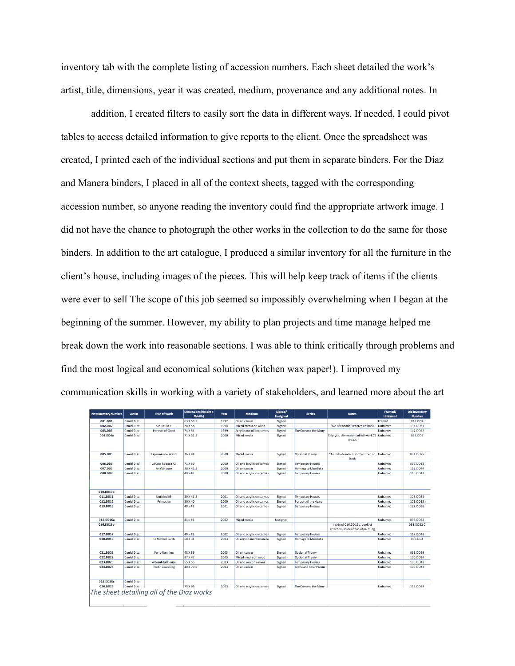inventory tab with the complete listing of accession numbers. Each sheet detailed the work's artist, title, dimensions, year it was created, medium, provenance and any additional notes. In

addition, I created filters to easily sort the data in different ways. If needed, I could pivot tables to access detailed information to give reports to the client. Once the spreadsheet was created, I printed each of the individual sections and put them in separate binders. For the Diaz and Manera binders, I placed in all of the context sheets, tagged with the corresponding accession number, so anyone reading the inventory could find the appropriate artwork image. I did not have the chance to photograph the other works in the collection to do the same for those binders. In addition to the art catalogue, I produced a similar inventory for all the furniture in the client's house, including images of the pieces. This will help keep track of items if the clients were ever to sell The scope of this job seemed so impossibly overwhelming when I began at the beginning of the summer. However, my ability to plan projects and time manage helped me break down the work into reasonable sections. I was able to think critically through problems and find the most logical and economical solutions (kitchen wax paper!). I improved my communication skills in working with a variety of stakeholders, and learned more about the art

| New Invetory Number | <b>Artist</b>      | <b>Title of Work</b>                      | Dimensions (Height x<br>Width) | Year | Medium                    | Signed/<br><b>Unsigned</b> | <b>Series</b>           | <b>Notes</b>                                                        | Framed/<br><b>Unframed</b> | <b>Old Inventory</b><br><b>Number</b> |
|---------------------|--------------------|-------------------------------------------|--------------------------------|------|---------------------------|----------------------------|-------------------------|---------------------------------------------------------------------|----------------------------|---------------------------------------|
| 001.DD1             | <b>Daniel Diaz</b> |                                           | 63 X 53.5                      | 1992 | Oil on canvas             | Signed                     |                         |                                                                     | Framed                     | 043.DD7                               |
| 002.DD2             | Daniel Diaz        | Sin Titulo 7                              | 70 X 58                        | 1994 | Mixed media on wood       | Signed                     |                         | "No Aficonado" written on back                                      | Unframed                   | 134.DD63                              |
| 003.DD3             | Daniel Diaz        | Portrait of Good                          | 74 X 54                        | 1999 | Acrylic and oil on canvas | Signed                     | The One and the Many    |                                                                     | Unframed                   | 147.DD72                              |
| 004.DD4a            | <b>Daniel Diaz</b> |                                           | 71 X 31.5                      | 2000 | Mixed media               | Signed                     |                         | Triptych, dimensions of full work 71 Unframed<br>X94.5              |                            | 039.DD5                               |
| 005.DD5             | Daniel Diaz        | Espermas del Alexo                        | 36 X 44                        | 2000 | Mixed media               | Signed                     | Optional Theory         | "Asundo de exticntion" written on Unframed<br>back                  |                            | 091.DD25                              |
| 006.DD6             | Daniel Diaz        | La Casa Robada #2                         | 71 X 59                        | 2000 | Oil and acrylic on canvas | Signed                     | <b>Temporary Houses</b> |                                                                     | Unframed                   | 099.DD33                              |
| 007.DD7             | Daniel Diaz        | Ana's House                               | 30 X 41.5                      | 2000 | Oil on canvas             | Signed                     | Homage to Mendieta      |                                                                     | Unframed                   | 112.DD44                              |
| 008.DD8             | Daniel Diaz        |                                           | 48 x 48                        | 2000 | Oil and acrylic on canvas | Signed                     | <b>Temporary Houses</b> |                                                                     | Unframed                   | 116.DD47                              |
| 010.DD10b           |                    |                                           |                                |      |                           |                            |                         |                                                                     |                            |                                       |
| 011.DD11            | Daniel Diaz        | Untitled #9                               | 30 X 41.5                      | 2001 | Oil and acrylic on canvas | Signed                     | <b>Temporary Houses</b> |                                                                     | Unframed                   | 123.DD52                              |
| 012.DD12            | Daniel Diaz        | Primative                                 | 30 X 40                        | 2000 | Oil and acrylic on canvas | Signed                     | Portrait of the Heart   |                                                                     | Unframed                   | 126.DD55                              |
| 013.DD13            | Daniel Diaz        |                                           | 48 x 48                        | 2001 | Oil and acrylic on canvas | Signed                     | <b>Temporary Houses</b> |                                                                     | Unframed                   | 127.DD56                              |
| 016.DD16a           | Daniel Diaz        |                                           | 41 x 49                        | 2002 | Mixed media               | Unsigned                   |                         |                                                                     | Unframed                   | 098.DD32                              |
| 016.DD16b           |                    |                                           |                                |      |                           |                            |                         | Inside of 016.DD16a, booklet<br>attached inside of flap of painting |                            | 098.DD32-2                            |
| 017.DD17            | Daniel Diaz        |                                           | 48 x 48                        | 2002 | Oil and acrylic on canvas | Signed                     | <b>Temporary Houses</b> |                                                                     | Unframed                   | 117.DD48                              |
| 018.DD18            | Daniel Diaz        | To Mother Earth                           | 58 X 31                        | 2003 | Oil acrylic and wax on ca | Signed                     | Homage to Mendieta      |                                                                     | Unframed                   | 038.DD4                               |
| 021.DD21            | <b>Daniel Diaz</b> | Perro Running                             | 48 X 36                        | 2003 | Oil on canvas             | Signed                     | Optional Theory         |                                                                     | Unframed                   | 095.DD29                              |
| 022.DD22            | <b>Daniel Diaz</b> |                                           | 87 X 47                        | 2003 | Mixed media on wood       | Signed                     | Optional Theory         |                                                                     | Unframed                   | 100.DD34                              |
| 023.DD23            | Daniel Diaz        | A Beautiful House                         | 55 X 55                        | 2003 | Oil and wax on canvas     | Signed                     | <b>Temporary Houses</b> |                                                                     | Unframed                   | 108.DD41                              |
| 024.DD24            | Daniel Diaz        | The Envious Dog                           | 40 X 70.5                      | 2003 | Oil on canvas             | Signed                     | Alpha and Solar Plexus  |                                                                     | Unframed                   | 109.DD42                              |
| 025.DD25c           | <b>Daniel Diaz</b> |                                           |                                |      |                           |                            |                         |                                                                     |                            |                                       |
| 026.DD26            | Daniel Diaz        |                                           | 75 X 95                        | 2003 | Oil and acrylic on canvas | Signed                     | The One and the Many    |                                                                     | Unframed                   | 118.DD49                              |
|                     |                    | The sheet detailing all of the Diaz works |                                |      |                           |                            |                         |                                                                     |                            |                                       |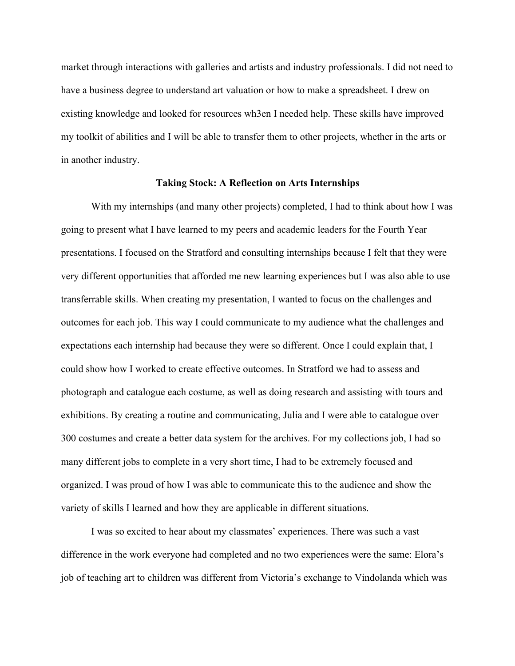market through interactions with galleries and artists and industry professionals. I did not need to have a business degree to understand art valuation or how to make a spreadsheet. I drew on existing knowledge and looked for resources wh3en I needed help. These skills have improved my toolkit of abilities and I will be able to transfer them to other projects, whether in the arts or in another industry.

## **Taking Stock: A Reflection on Arts Internships**

With my internships (and many other projects) completed, I had to think about how I was going to present what I have learned to my peers and academic leaders for the Fourth Year presentations. I focused on the Stratford and consulting internships because I felt that they were very different opportunities that afforded me new learning experiences but I was also able to use transferrable skills. When creating my presentation, I wanted to focus on the challenges and outcomes for each job. This way I could communicate to my audience what the challenges and expectations each internship had because they were so different. Once I could explain that, I could show how I worked to create effective outcomes. In Stratford we had to assess and photograph and catalogue each costume, as well as doing research and assisting with tours and exhibitions. By creating a routine and communicating, Julia and I were able to catalogue over 300 costumes and create a better data system for the archives. For my collections job, I had so many different jobs to complete in a very short time, I had to be extremely focused and organized. I was proud of how I was able to communicate this to the audience and show the variety of skills I learned and how they are applicable in different situations.

I was so excited to hear about my classmates' experiences. There was such a vast difference in the work everyone had completed and no two experiences were the same: Elora's job of teaching art to children was different from Victoria's exchange to Vindolanda which was